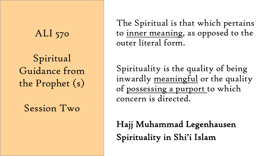### ALI 570

Spiritual Guidance from the Prophet (s)

Session Two

The Spiritual is that which pertains to inner meaning, as opposed to the outer literal form.

Spirituality is the quality of being inwardly meaningful or the quality of possessing a purport to which concern is directed.

Hajj Muhammad Legenhausen Spirituality in Shi'i Islam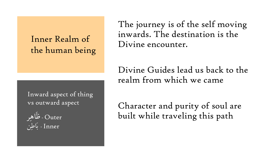#### Inner Realm of the human being

Inward aspect of thing vs outward aspect

 $\bigcup$ و - طَاهِر  $\overline{\mathsf{U}}$  $\overline{\cup}$  -  $\overline{\cup}$  -  $\overline{\cup}$  -  $\overline{\cup}$ 

The journey is of the self moving inwards. The destination is the Divine encounter.

Divine Guides lead us back to the realm from which we came

Character and purity of soul are built while traveling this path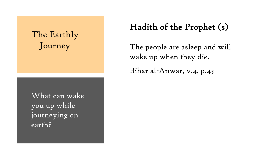## The Earthly Journey

What can wake you up while journeying on earth?

#### Hadith of the Prophet (s)

The people are asleep and will wake up when they die.

Bihar al-Anwar, v.4, p.43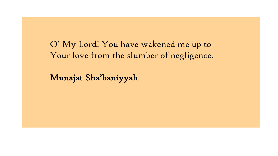O' My Lord! You have wakened me up to Your love from the slumber of negligence.

Munajat Sha'baniyyah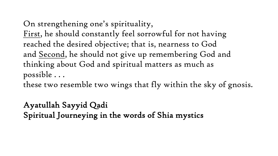On strengthening one's spirituality, First, he should constantly feel sorrowful for not having reached the desired objective; that is, nearness to God and Second, he should not give up remembering God and thinking about God and spiritual matters as much as possible . . .

these two resemble two wings that fly within the sky of gnosis.

Ayatullah Sayyid Qadi Spiritual Journeying in the words of Shia mystics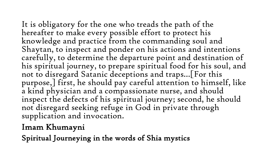It is obligatory for the one who treads the path of the hereafter to make every possible effort to protect his knowledge and practice from the commanding soul and Shaytan, to inspect and ponder on his actions and intentions carefully, to determine the departure point and destination of his spiritual journey, to prepare spiritual food for his soul, and not to disregard Satanic deceptions and traps…[For this purpose,] first, he should pay careful attention to himself, like a kind physician and a compassionate nurse, and should inspect the defects of his spiritual journey; second, he should not disregard seeking refuge in God in private through supplication and invocation.

#### Imam Khumayni

Spiritual Journeying in the words of Shia mystics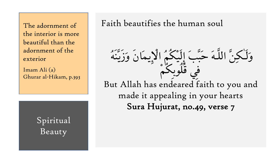The adornment of the interior is more beautiful than the adornment of the exterior

Imam Ali (a) Ghurar al-Hikam, p.393

> Spiritual Beauty

Faith beautifies the human soul

وَلَٰـٰكِنَّ اللَّـٰهَ حَبَّبَ إِلَيْكُمْ الْإِيمَانَ وَزَيَّنَهُ في قُلوبِکم But Allah has endeared faith to you and made it appealing in your hearts Sura Hujurat, no.49, verse 7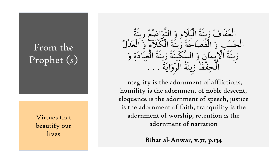## From the Prophet (s)

Virtues that beautify our lives

الْعَفَافَ زِينةِ الْبَلاءِ وَ التّوَاضِعُ زِينة الْحَسَبِ وَ الْفَصَاحَةِ زِينَةِ الْكَلامِ وَ الْعَدْلَ زينة الإيمان وَ السكينة زينة العِبَادَةِ وَ الْحِفْظْ زِينة الرّوَايَّة . . .

Integrity is the adornment of afflictions, humility is the adornment of noble descent, eloquence is the adornment of speech, justice is the adornment of faith, tranquility is the adornment of worship, retention is the adornment of narration

Bihar al-Anwar, v.71, p.134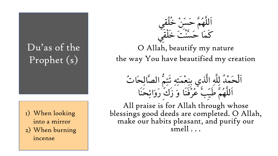# Du'as of the Prophet (s)

1) When looking into a mirror 2) When burning incense



O Allah, beautify my nature the way You have beautified my creation

الْحَمَّد لِلَّهِ الَّذِي بِنِعْمَتِهِ تَتِمَّ الصالحات اللهُمْ طَيْبٍ عَرْفْنَا وَ زَكَ رَوَائِحْنَا

All praise is for Allah through whose blessings good deeds are completed. O Allah, make our habits pleasant, and purify our smell . . .